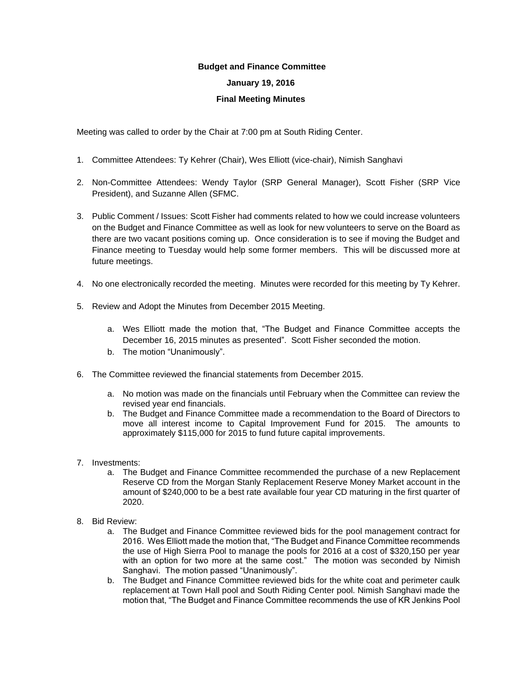## **Budget and Finance Committee**

## **January 19, 2016**

## **Final Meeting Minutes**

Meeting was called to order by the Chair at 7:00 pm at South Riding Center.

- 1. Committee Attendees: Ty Kehrer (Chair), Wes Elliott (vice-chair), Nimish Sanghavi
- 2. Non-Committee Attendees: Wendy Taylor (SRP General Manager), Scott Fisher (SRP Vice President), and Suzanne Allen (SFMC.
- 3. Public Comment / Issues: Scott Fisher had comments related to how we could increase volunteers on the Budget and Finance Committee as well as look for new volunteers to serve on the Board as there are two vacant positions coming up. Once consideration is to see if moving the Budget and Finance meeting to Tuesday would help some former members. This will be discussed more at future meetings.
- 4. No one electronically recorded the meeting. Minutes were recorded for this meeting by Ty Kehrer.
- 5. Review and Adopt the Minutes from December 2015 Meeting.
	- a. Wes Elliott made the motion that, "The Budget and Finance Committee accepts the December 16, 2015 minutes as presented". Scott Fisher seconded the motion.
	- b. The motion "Unanimously".
- 6. The Committee reviewed the financial statements from December 2015.
	- a. No motion was made on the financials until February when the Committee can review the revised year end financials.
	- b. The Budget and Finance Committee made a recommendation to the Board of Directors to move all interest income to Capital Improvement Fund for 2015. The amounts to approximately \$115,000 for 2015 to fund future capital improvements.
- 7. Investments:
	- a. The Budget and Finance Committee recommended the purchase of a new Replacement Reserve CD from the Morgan Stanly Replacement Reserve Money Market account in the amount of \$240,000 to be a best rate available four year CD maturing in the first quarter of 2020.
- 8. Bid Review:
	- a. The Budget and Finance Committee reviewed bids for the pool management contract for 2016. Wes Elliott made the motion that, "The Budget and Finance Committee recommends the use of High Sierra Pool to manage the pools for 2016 at a cost of \$320,150 per year with an option for two more at the same cost." The motion was seconded by Nimish Sanghavi. The motion passed "Unanimously".
	- b. The Budget and Finance Committee reviewed bids for the white coat and perimeter caulk replacement at Town Hall pool and South Riding Center pool. Nimish Sanghavi made the motion that, "The Budget and Finance Committee recommends the use of KR Jenkins Pool